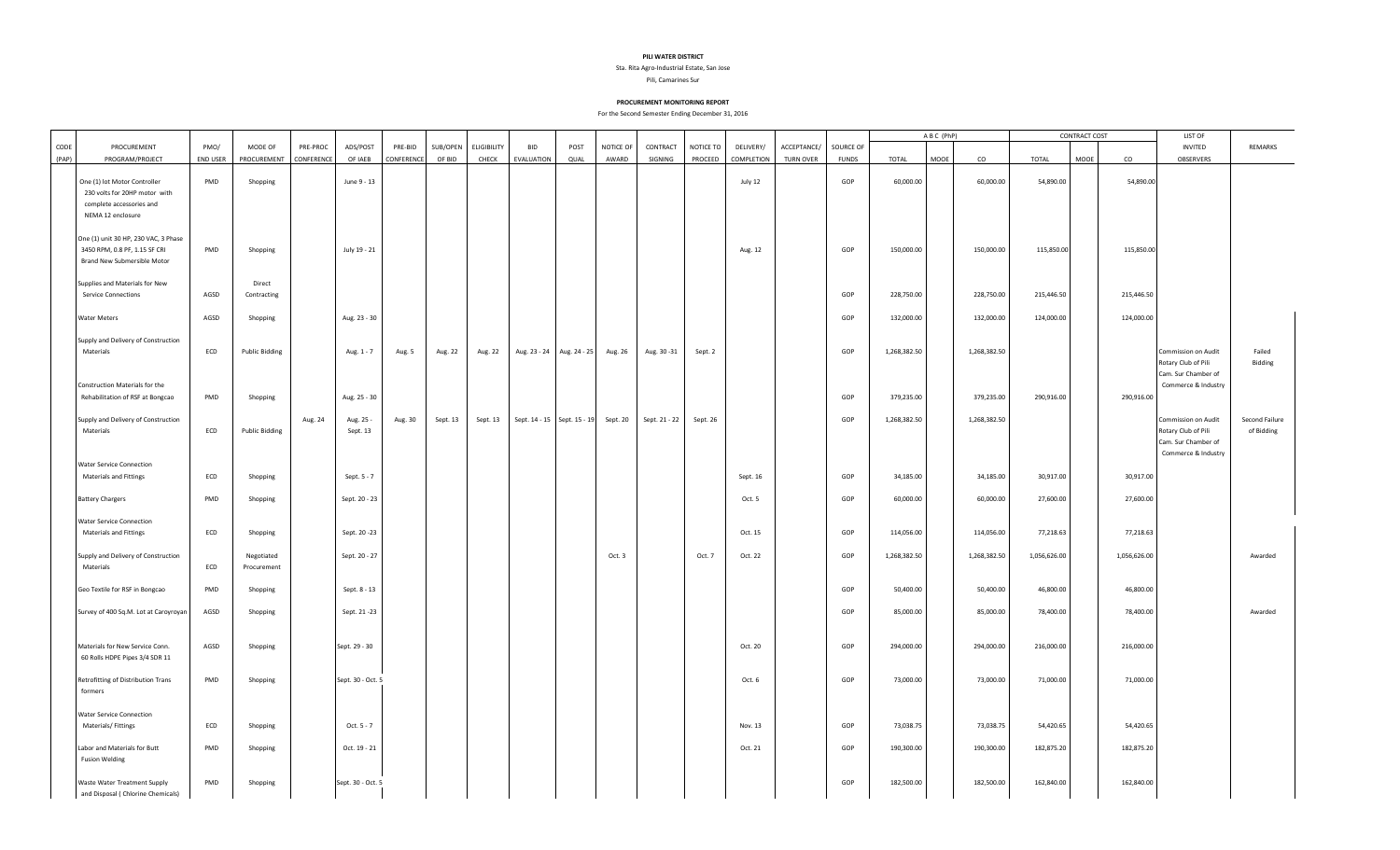## **PILI WATER DISTRICT**

Sta. Rita Agro-Industrial Estate, San Jose

Pili, Camarines Sur

## **PROCUREMENT MONITORING REPORT**

For the Second Semester Ending December 31, 2016

|               |                                                                                                                |                         |                           |                        |                       |                       |                    |                             |                             |              |                    |                     |                      |                         |                                 |                           |              | ABC (PhP) |              |              | CONTRACT COST |              | LIST OF                                                                                  |                              |
|---------------|----------------------------------------------------------------------------------------------------------------|-------------------------|---------------------------|------------------------|-----------------------|-----------------------|--------------------|-----------------------------|-----------------------------|--------------|--------------------|---------------------|----------------------|-------------------------|---------------------------------|---------------------------|--------------|-----------|--------------|--------------|---------------|--------------|------------------------------------------------------------------------------------------|------------------------------|
| CODE<br>(PAP) | PROCUREMENT<br>PROGRAM/PROJECT                                                                                 | PMO/<br><b>END USER</b> | MODE OF<br>PROCUREMENT    | PRE-PROC<br>CONFERENCE | ADS/POST<br>OF IAEB   | PRE-BID<br>CONFERENCE | SUB/OPEN<br>OF BID | <b>ELIGIBILITY</b><br>CHECK | <b>BID</b><br>EVALUATION    | POST<br>QUAL | NOTICE OF<br>AWARD | CONTRACT<br>SIGNING | NOTICE TO<br>PROCEED | DELIVERY/<br>COMPLETION | ACCEPTANCE/<br><b>TURN OVER</b> | SOURCE OF<br><b>FUNDS</b> | <b>TOTAL</b> | MOOE      | co           | TOTAL        | MOOE          | $_{\rm CO}$  | INVITED<br>OBSERVERS                                                                     | REMARKS                      |
|               | One (1) lot Motor Controller<br>230 volts for 20HP motor with<br>complete accessories and<br>NEMA 12 enclosure | PMD                     | Shopping                  |                        | June 9 - 13           |                       |                    |                             |                             |              |                    |                     |                      | July 12                 |                                 | GOP                       | 60,000.00    |           | 60,000.00    | 54,890.00    |               | 54,890.00    |                                                                                          |                              |
|               | One (1) unit 30 HP, 230 VAC, 3 Phase<br>3450 RPM, 0.8 PF, 1.15 SF CRI<br>Brand New Submersible Motor           | PMD                     | Shopping                  |                        | July 19 - 21          |                       |                    |                             |                             |              |                    |                     |                      | Aug. 12                 |                                 | GOP                       | 150,000.00   |           | 150,000.00   | 115,850.00   |               | 115,850.00   |                                                                                          |                              |
|               | Supplies and Materials for New<br><b>Service Connections</b>                                                   | AGSD                    | Direct<br>Contracting     |                        |                       |                       |                    |                             |                             |              |                    |                     |                      |                         |                                 | GOP                       | 228,750.00   |           | 228,750.00   | 215,446.50   |               | 215,446.50   |                                                                                          |                              |
|               | Water Meters                                                                                                   | AGSD                    | Shopping                  |                        | Aug. 23 - 30          |                       |                    |                             |                             |              |                    |                     |                      |                         |                                 | GOP                       | 132,000.00   |           | 132,000.00   | 124,000.00   |               | 124,000.00   |                                                                                          |                              |
|               | Supply and Delivery of Construction<br>Materials                                                               | ECD                     | <b>Public Bidding</b>     |                        | Aug. 1 - 7            | Aug. 5                | Aug. 22            | Aug. 22                     | Aug. 23 - 24 Aug. 24 - 25   |              | Aug. 26            | Aug. 30-31          | Sept. 2              |                         |                                 | GOP                       | 1,268,382.50 |           | 1,268,382.50 |              |               |              | Commission on Audit<br>Rotary Club of Pili<br>Cam. Sur Chamber of                        | Failed<br>Bidding            |
|               | Construction Materials for the<br>Rehabilitation of RSF at Bongcao                                             | PMD                     | Shopping                  |                        | Aug. 25 - 30          |                       |                    |                             |                             |              |                    |                     |                      |                         |                                 | GOP                       | 379,235.00   |           | 379,235.00   | 290,916.00   |               | 290,916.00   | Commerce & Industry                                                                      |                              |
|               | Supply and Delivery of Construction<br>Materials                                                               | ECD                     | <b>Public Bidding</b>     | Aug. 24                | Aug. 25 -<br>Sept. 13 | Aug. 30               | Sept. 13           | Sept. 13                    | Sept. 14 - 15 Sept. 15 - 19 |              | Sept. 20           | Sept. 21 - 22       | Sept. 26             |                         |                                 | GOP                       | 1,268,382.50 |           | 1,268,382.50 |              |               |              | Commission on Audit<br>Rotary Club of Pili<br>Cam. Sur Chamber of<br>Commerce & Industry | Second Failure<br>of Bidding |
|               | Water Service Connection<br><b>Materials and Fittings</b>                                                      | ECD                     | Shopping                  |                        | Sept. 5 - 7           |                       |                    |                             |                             |              |                    |                     |                      | Sept. 16                |                                 | GOP                       | 34,185.00    |           | 34,185.00    | 30,917.00    |               | 30,917.00    |                                                                                          |                              |
|               | <b>Battery Chargers</b>                                                                                        | PMD                     | Shopping                  |                        | Sept. 20 - 23         |                       |                    |                             |                             |              |                    |                     |                      | Oct. 5                  |                                 | GOP                       | 60,000.00    |           | 60,000.00    | 27,600.00    |               | 27,600.00    |                                                                                          |                              |
|               | Water Service Connection<br><b>Materials and Fittings</b>                                                      | ECD                     | Shopping                  |                        | Sept. 20 - 23         |                       |                    |                             |                             |              |                    |                     |                      | Oct. 15                 |                                 | GOP                       | 114,056.00   |           | 114,056.00   | 77,218.63    |               | 77,218.63    |                                                                                          |                              |
|               | Supply and Delivery of Construction<br>Materials                                                               | ECD                     | Negotiated<br>Procurement |                        | Sept. 20 - 27         |                       |                    |                             |                             |              | Oct. 3             |                     | Oct. 7               | Oct. 22                 |                                 | GOP                       | 1,268,382.50 |           | 1,268,382.50 | 1,056,626.00 |               | 1,056,626.00 |                                                                                          | Awarded                      |
|               | Geo Textile for RSF in Bongcao                                                                                 | PMD                     | Shopping                  |                        | Sept. 8 - 13          |                       |                    |                             |                             |              |                    |                     |                      |                         |                                 | GOP                       | 50,400.00    |           | 50,400.00    | 46,800.00    |               | 46,800.00    |                                                                                          |                              |
|               | Survey of 400 Sq.M. Lot at Caroyroyan                                                                          | AGSD                    | Shopping                  |                        | Sept. 21-23           |                       |                    |                             |                             |              |                    |                     |                      |                         |                                 | GOP                       | 85,000.00    |           | 85,000.00    | 78,400.00    |               | 78,400.00    |                                                                                          | Awarded                      |
|               | Materials for New Service Conn.<br>60 Rolls HDPE Pipes 3/4 SDR 11                                              | AGSD                    | Shopping                  |                        | Sept. 29 - 30         |                       |                    |                             |                             |              |                    |                     |                      | Oct. 20                 |                                 | GOP                       | 294,000.00   |           | 294,000.00   | 216,000.00   |               | 216,000.00   |                                                                                          |                              |
|               | Retrofitting of Distribution Trans<br>formers                                                                  | PMD                     | Shopping                  |                        | Sept. 30 - Oct. 5     |                       |                    |                             |                             |              |                    |                     |                      | Oct. 6                  |                                 | GOP                       | 73,000.00    |           | 73,000.00    | 71,000.00    |               | 71,000.00    |                                                                                          |                              |
|               | Water Service Connection<br>Materials/Fittings                                                                 | ECD                     | Shopping                  |                        | Oct. 5 - 7            |                       |                    |                             |                             |              |                    |                     |                      | Nov. 13                 |                                 | GOP                       | 73,038.75    |           | 73,038.75    | 54,420.65    |               | 54,420.65    |                                                                                          |                              |
|               | Labor and Materials for Butt<br><b>Fusion Welding</b>                                                          | PMD                     | Shopping                  |                        | Oct. 19 - 21          |                       |                    |                             |                             |              |                    |                     |                      | Oct. 21                 |                                 | GOP                       | 190,300.00   |           | 190,300.00   | 182,875.20   |               | 182,875.20   |                                                                                          |                              |
|               | Waste Water Treatment Supply<br>and Disposal (Chlorine Chemicals)                                              | PMD                     | Shopping                  |                        | Sept. 30 - Oct. 5     |                       |                    |                             |                             |              |                    |                     |                      |                         |                                 | GOP                       | 182,500.00   |           | 182,500.00   | 162,840.00   |               | 162,840.00   |                                                                                          |                              |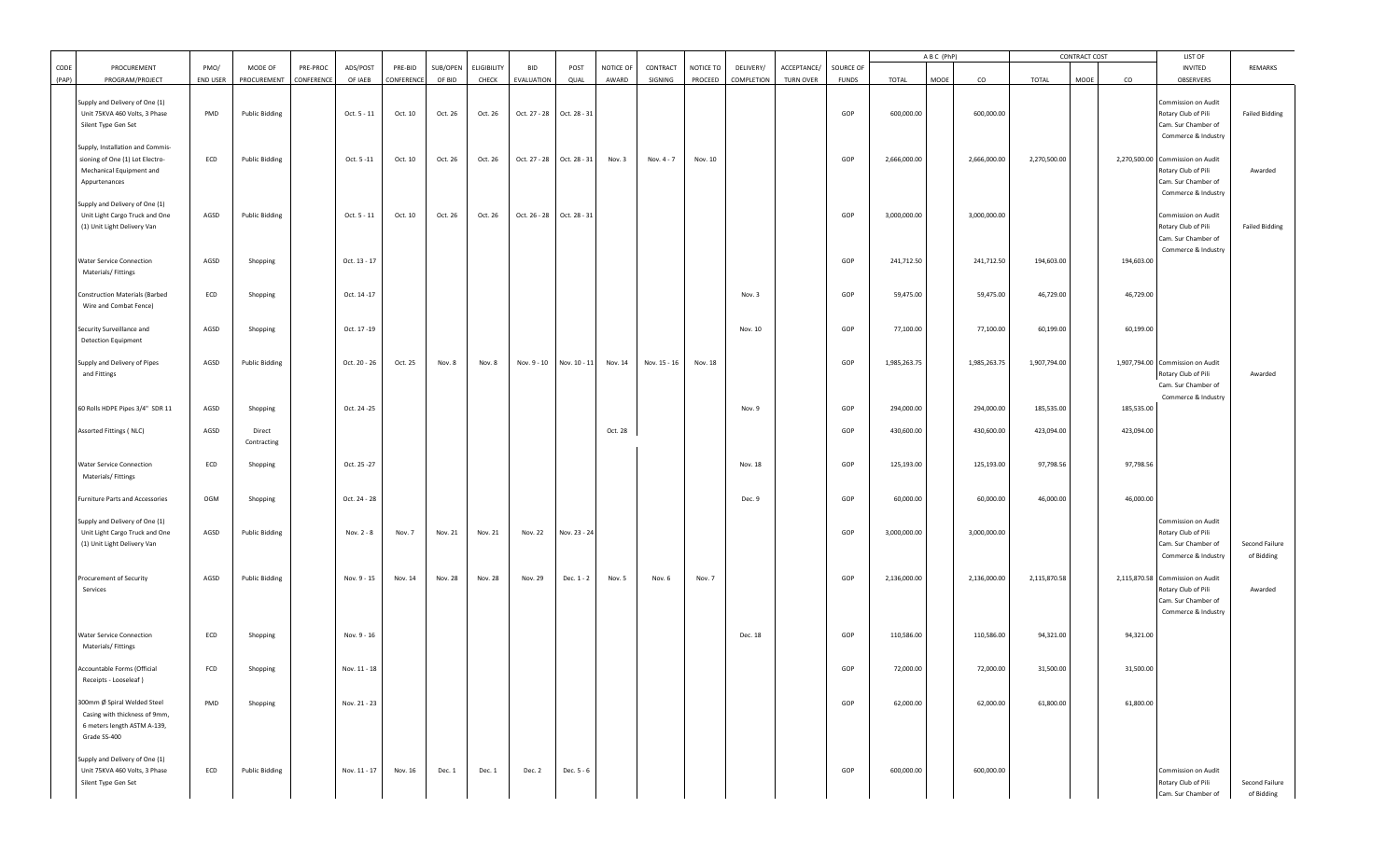|                   |                                                                                                                  |            |                       |            |              |            |          |                    |              |              |           |              |           |            |                  |              | ABC (PhP)    |      | <b>CONTRACT COST</b> |              | LIST OF    |                                                                                                       |                              |
|-------------------|------------------------------------------------------------------------------------------------------------------|------------|-----------------------|------------|--------------|------------|----------|--------------------|--------------|--------------|-----------|--------------|-----------|------------|------------------|--------------|--------------|------|----------------------|--------------|------------|-------------------------------------------------------------------------------------------------------|------------------------------|
| $\texttt{CODE}{}$ | PROCUREMENT                                                                                                      | PMO/       | MODE OF               | PRE-PROC   | ADS/POST     | PRE-BID    | SUB/OPEN | <b>ELIGIBILITY</b> | <b>BID</b>   | POST         | NOTICE OF | CONTRACT     | NOTICE TO | DELIVERY/  | ACCEPTANCE/      | SOURCE OF    |              |      |                      |              |            | INVITED                                                                                               | REMARKS                      |
| (PAP)             | PROGRAM/PROJECT                                                                                                  | END USER   | PROCUREMENT           | CONFERENCE | OF IAEB      | CONFERENCE | OF BID   | CHECK              | EVALUATION   | QUAL         | AWARD     | SIGNING      | PROCEED   | COMPLETION | <b>TURN OVER</b> | <b>FUNDS</b> | TOTAL        | MOOE | CO                   | TOTAL        | MOOE<br>CO | OBSERVERS                                                                                             |                              |
|                   | Supply and Delivery of One (1)<br>Unit 75KVA 460 Volts, 3 Phase<br>Silent Type Gen Set                           | PMD        | <b>Public Bidding</b> |            | Oct. 5 - 11  | Oct. 10    | Oct. 26  | Oct. 26            | Oct. 27 - 28 | Oct. 28 - 31 |           |              |           |            |                  | GOP          | 600,000.00   |      | 600,000.00           |              |            | Commission on Audit<br>Rotary Club of Pili<br>Cam. Sur Chamber of<br>Commerce & Industry              | <b>Failed Bidding</b>        |
|                   | Supply, Installation and Commis-<br>sioning of One (1) Lot Electro-<br>Mechanical Equipment and<br>Appurtenances | ECD        | <b>Public Bidding</b> |            | Oct. 5 -11   | Oct. 10    | Oct. 26  | Oct. 26            | Oct. 27 - 28 | Oct. 28 - 31 | Nov. 3    | Nov. 4 - 7   | Nov. 10   |            |                  | GOP          | 2,666,000.00 |      | 2,666,000.00         | 2,270,500.00 |            | 2,270,500.00 Commission on Audit<br>Rotary Club of Pili<br>Cam. Sur Chamber of<br>Commerce & Industry | Awarded                      |
|                   | Supply and Delivery of One (1)<br>Unit Light Cargo Truck and One<br>(1) Unit Light Delivery Van                  | AGSD       | <b>Public Bidding</b> |            | Oct. 5 - 11  | Oct. 10    | Oct. 26  | Oct. 26            | Oct. 26 - 28 | Oct. 28 - 31 |           |              |           |            |                  | GOP          | 3,000,000.00 |      | 3,000,000.00         |              |            | Commission on Audit<br>Rotary Club of Pili<br>Cam. Sur Chamber of                                     | <b>Failed Bidding</b>        |
|                   | <b>Water Service Connection</b><br>Materials/Fittings                                                            | AGSD       | Shopping              |            | Oct. 13 - 17 |            |          |                    |              |              |           |              |           |            |                  | GOP          | 241,712.50   |      | 241,712.50           | 194,603.00   | 194,603.00 | Commerce & Industry                                                                                   |                              |
|                   | <b>Construction Materials (Barbed</b><br>Wire and Combat Fence)                                                  | ECD        | Shopping              |            | Oct. 14 -17  |            |          |                    |              |              |           |              |           | Nov. 3     |                  | GOP          | 59,475.00    |      | 59,475.00            | 46,729.00    | 46,729.00  |                                                                                                       |                              |
|                   | Security Surveillance and<br><b>Detection Equipment</b>                                                          | AGSD       | Shopping              |            | Oct. 17 -19  |            |          |                    |              |              |           |              |           | Nov. 10    |                  | GOP          | 77,100.00    |      | 77,100.00            | 60,199.00    | 60,199.00  |                                                                                                       |                              |
|                   | Supply and Delivery of Pipes<br>and Fittings                                                                     | AGSD       | <b>Public Bidding</b> |            | Oct. 20 - 26 | Oct. 25    | Nov. 8   | Nov. 8             | Nov. 9 - 10  | Nov. 10 - 11 | Nov. 14   | Nov. 15 - 16 | Nov. 18   |            |                  | GOP          | 1,985,263.75 |      | 1,985,263.75         | 1,907,794.00 |            | 1,907,794.00 Commission on Audit<br>Rotary Club of Pili<br>Cam. Sur Chamber of                        | Awarded                      |
|                   | 60 Rolls HDPE Pipes 3/4" SDR 11                                                                                  | AGSD       | Shopping              |            | Oct. 24 - 25 |            |          |                    |              |              |           |              |           | Nov. 9     |                  | GOP          | 294,000.00   |      | 294,000.00           | 185,535.00   | 185,535.00 | Commerce & Industry                                                                                   |                              |
|                   | Assorted Fittings (NLC)                                                                                          | AGSD       | Direct<br>Contracting |            |              |            |          |                    |              |              | Oct. 28   |              |           |            |                  | GOP          | 430,600.00   |      | 430,600.00           | 423,094.00   | 423,094.00 |                                                                                                       |                              |
|                   | <b>Water Service Connection</b><br>Materials/Fittings                                                            | ECD        | Shopping              |            | Oct. 25 - 27 |            |          |                    |              |              |           |              |           | Nov. 18    |                  | GOP          | 125,193.00   |      | 125,193.00           | 97,798.56    | 97,798.56  |                                                                                                       |                              |
|                   | Furniture Parts and Accessories                                                                                  | <b>OGM</b> | Shopping              |            | Oct. 24 - 28 |            |          |                    |              |              |           |              |           | Dec. 9     |                  | GOP          | 60,000.00    |      | 60,000.00            | 46,000.00    | 46,000.00  |                                                                                                       |                              |
|                   | Supply and Delivery of One (1)<br>Unit Light Cargo Truck and One<br>(1) Unit Light Delivery Van                  | AGSD       | <b>Public Bidding</b> |            | Nov. 2 - 8   | Nov. 7     | Nov. 21  | Nov. 21            | Nov. 22      | Nov. 23 - 24 |           |              |           |            |                  | GOP          | 3,000,000.00 |      | 3,000,000.00         |              |            | Commission on Audit<br>Rotary Club of Pili<br>Cam. Sur Chamber of<br>Commerce & Industry              | Second Failure<br>of Bidding |
|                   | Procurement of Security<br>Services                                                                              | AGSD       | <b>Public Bidding</b> |            | Nov. 9 - 15  | Nov. 14    | Nov. 28  | Nov. 28            | Nov. 29      | Dec. 1 - 2   | Nov. 5    | Nov. 6       | Nov. 7    |            |                  | GOP          | 2,136,000.00 |      | 2,136,000.00         | 2,115,870.58 |            | 2,115,870.58 Commission on Audit<br>Rotary Club of Pili<br>Cam. Sur Chamber of<br>Commerce & Industry | Awarded                      |
|                   | <b>Water Service Connection</b><br>Materials/Fittings                                                            | ECD        | Shopping              |            | Nov. 9 - 16  |            |          |                    |              |              |           |              |           | Dec. 18    |                  | GOP          | 110,586.00   |      | 110,586.00           | 94,321.00    | 94,321.00  |                                                                                                       |                              |
|                   | Accountable Forms (Official<br>Receipts - Looseleaf)                                                             | FCD        | Shopping              |            | Nov. 11 - 18 |            |          |                    |              |              |           |              |           |            |                  | GOP          | 72,000.00    |      | 72,000.00            | 31,500.00    | 31,500.00  |                                                                                                       |                              |
|                   | 300mm Ø Spiral Welded Steel<br>Casing with thickness of 9mm,<br>6 meters length ASTM A-139,<br>Grade SS-400      | PMD        | Shopping              |            | Nov. 21 - 23 |            |          |                    |              |              |           |              |           |            |                  | GOP          | 62,000.00    |      | 62,000.00            | 61,800.00    | 61,800.00  |                                                                                                       |                              |
|                   | Supply and Delivery of One (1)<br>Unit 75KVA 460 Volts, 3 Phase<br>Silent Type Gen Set                           | ECD        | <b>Public Bidding</b> |            | Nov. 11 - 17 | Nov. 16    | Dec. 1   | Dec. 1             | Dec. 2       | Dec. 5 - 6   |           |              |           |            |                  | GOP          | 600,000.00   |      | 600,000.00           |              |            | Commission on Audit<br>Rotary Club of Pili<br>Cam. Sur Chamber of                                     | Second Failure<br>of Bidding |